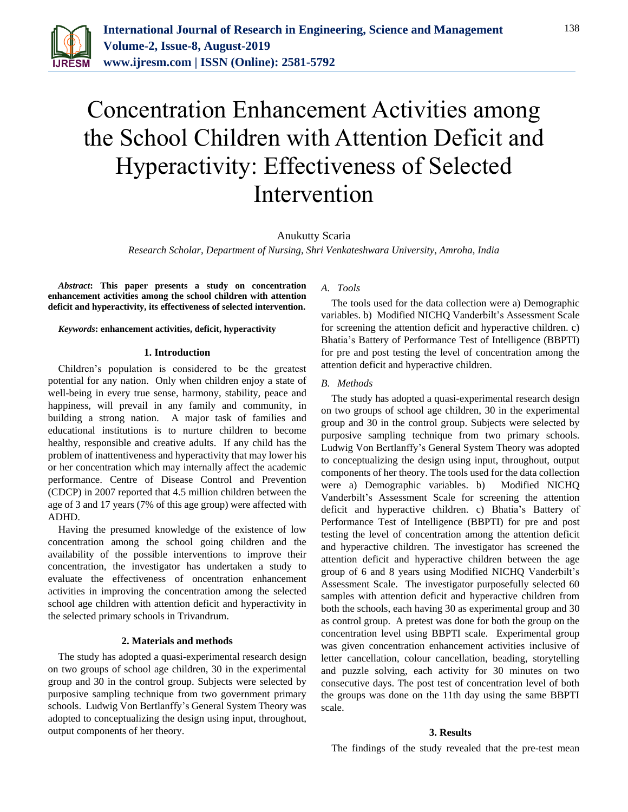

# Concentration Enhancement Activities among the School Children with Attention Deficit and Hyperactivity: Effectiveness of Selected Intervention

# Anukutty Scaria

*Research Scholar, Department of Nursing, Shri Venkateshwara University, Amroha, India*

*Abstract***: This paper presents a study on concentration enhancement activities among the school children with attention deficit and hyperactivity, its effectiveness of selected intervention.**

*Keywords***: enhancement activities, deficit, hyperactivity**

#### **1. Introduction**

Children's population is considered to be the greatest potential for any nation. Only when children enjoy a state of well-being in every true sense, harmony, stability, peace and happiness, will prevail in any family and community, in building a strong nation. A major task of families and educational institutions is to nurture children to become healthy, responsible and creative adults. If any child has the problem of inattentiveness and hyperactivity that may lower his or her concentration which may internally affect the academic performance. Centre of Disease Control and Prevention (CDCP) in 2007 reported that 4.5 million children between the age of 3 and 17 years (7% of this age group) were affected with ADHD.

Having the presumed knowledge of the existence of low concentration among the school going children and the availability of the possible interventions to improve their concentration, the investigator has undertaken a study to evaluate the effectiveness of oncentration enhancement activities in improving the concentration among the selected school age children with attention deficit and hyperactivity in the selected primary schools in Trivandrum.

### **2. Materials and methods**

The study has adopted a quasi-experimental research design on two groups of school age children, 30 in the experimental group and 30 in the control group. Subjects were selected by purposive sampling technique from two government primary schools. Ludwig Von Bertlanffy's General System Theory was adopted to conceptualizing the design using input, throughout, output components of her theory.

# *A. Tools*

The tools used for the data collection were a) Demographic variables. b) Modified NICHQ Vanderbilt's Assessment Scale for screening the attention deficit and hyperactive children. c) Bhatia's Battery of Performance Test of Intelligence (BBPTI) for pre and post testing the level of concentration among the attention deficit and hyperactive children.

### *B. Methods*

The study has adopted a quasi-experimental research design on two groups of school age children, 30 in the experimental group and 30 in the control group. Subjects were selected by purposive sampling technique from two primary schools. Ludwig Von Bertlanffy's General System Theory was adopted to conceptualizing the design using input, throughout, output components of her theory. The tools used for the data collection were a) Demographic variables. b) Modified NICHQ Vanderbilt's Assessment Scale for screening the attention deficit and hyperactive children. c) Bhatia's Battery of Performance Test of Intelligence (BBPTI) for pre and post testing the level of concentration among the attention deficit and hyperactive children. The investigator has screened the attention deficit and hyperactive children between the age group of 6 and 8 years using Modified NICHQ Vanderbilt's Assessment Scale. The investigator purposefully selected 60 samples with attention deficit and hyperactive children from both the schools, each having 30 as experimental group and 30 as control group. A pretest was done for both the group on the concentration level using BBPTI scale. Experimental group was given concentration enhancement activities inclusive of letter cancellation, colour cancellation, beading, storytelling and puzzle solving, each activity for 30 minutes on two consecutive days. The post test of concentration level of both the groups was done on the 11th day using the same BBPTI scale.

#### **3. Results**

The findings of the study revealed that the pre-test mean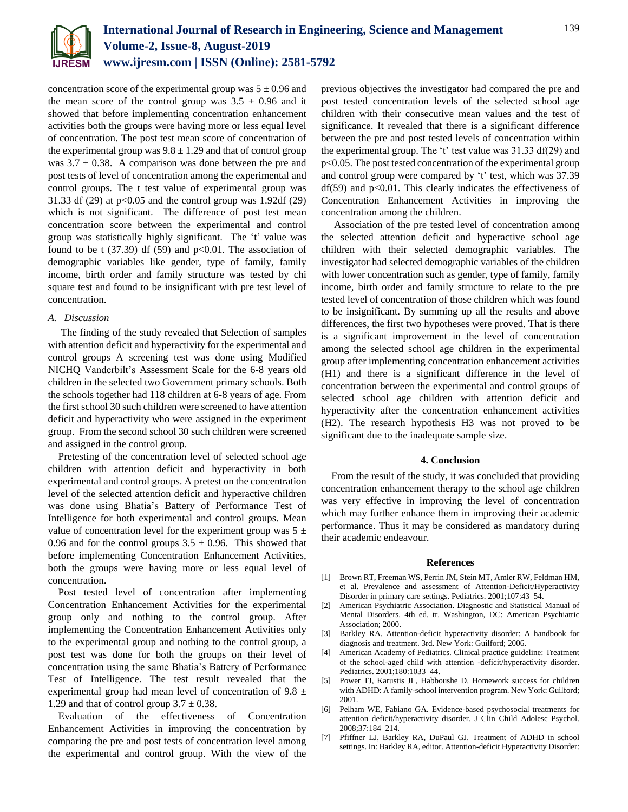

concentration score of the experimental group was  $5 \pm 0.96$  and the mean score of the control group was  $3.5 \pm 0.96$  and it showed that before implementing concentration enhancement activities both the groups were having more or less equal level of concentration. The post test mean score of concentration of the experimental group was  $9.8 \pm 1.29$  and that of control group was  $3.7 \pm 0.38$ . A comparison was done between the pre and post tests of level of concentration among the experimental and control groups. The t test value of experimental group was 31.33 df (29) at  $p<0.05$  and the control group was 1.92df (29) which is not significant. The difference of post test mean concentration score between the experimental and control group was statistically highly significant. The 't' value was found to be t  $(37.39)$  df  $(59)$  and  $p<0.01$ . The association of demographic variables like gender, type of family, family income, birth order and family structure was tested by chi square test and found to be insignificant with pre test level of concentration.

## *A. Discussion*

The finding of the study revealed that Selection of samples with attention deficit and hyperactivity for the experimental and control groups A screening test was done using Modified NICHQ Vanderbilt's Assessment Scale for the 6-8 years old children in the selected two Government primary schools. Both the schools together had 118 children at 6-8 years of age. From the first school 30 such children were screened to have attention deficit and hyperactivity who were assigned in the experiment group. From the second school 30 such children were screened and assigned in the control group.

Pretesting of the concentration level of selected school age children with attention deficit and hyperactivity in both experimental and control groups. A pretest on the concentration level of the selected attention deficit and hyperactive children was done using Bhatia's Battery of Performance Test of Intelligence for both experimental and control groups. Mean value of concentration level for the experiment group was  $5 \pm$ 0.96 and for the control groups  $3.5 \pm 0.96$ . This showed that before implementing Concentration Enhancement Activities, both the groups were having more or less equal level of concentration.

Post tested level of concentration after implementing Concentration Enhancement Activities for the experimental group only and nothing to the control group. After implementing the Concentration Enhancement Activities only to the experimental group and nothing to the control group, a post test was done for both the groups on their level of concentration using the same Bhatia's Battery of Performance Test of Intelligence. The test result revealed that the experimental group had mean level of concentration of 9.8  $\pm$ 1.29 and that of control group  $3.7 \pm 0.38$ .

Evaluation of the effectiveness of Concentration Enhancement Activities in improving the concentration by comparing the pre and post tests of concentration level among the experimental and control group. With the view of the

previous objectives the investigator had compared the pre and post tested concentration levels of the selected school age children with their consecutive mean values and the test of significance. It revealed that there is a significant difference between the pre and post tested levels of concentration within the experimental group. The 't' test value was 31.33 df(29) and p<0.05. The post tested concentration of the experimental group and control group were compared by 't' test, which was 37.39  $df(59)$  and  $p<0.01$ . This clearly indicates the effectiveness of Concentration Enhancement Activities in improving the concentration among the children.

Association of the pre tested level of concentration among the selected attention deficit and hyperactive school age children with their selected demographic variables. The investigator had selected demographic variables of the children with lower concentration such as gender, type of family, family income, birth order and family structure to relate to the pre tested level of concentration of those children which was found to be insignificant. By summing up all the results and above differences, the first two hypotheses were proved. That is there is a significant improvement in the level of concentration among the selected school age children in the experimental group after implementing concentration enhancement activities (H1) and there is a significant difference in the level of concentration between the experimental and control groups of selected school age children with attention deficit and hyperactivity after the concentration enhancement activities (H2). The research hypothesis H3 was not proved to be significant due to the inadequate sample size.

#### **4. Conclusion**

From the result of the study, it was concluded that providing concentration enhancement therapy to the school age children was very effective in improving the level of concentration which may further enhance them in improving their academic performance. Thus it may be considered as mandatory during their academic endeavour.

#### **References**

- [1] Brown RT, Freeman WS, Perrin JM, Stein MT, Amler RW, Feldman HM, et al. Prevalence and assessment of Attention-Deficit/Hyperactivity Disorder in primary care settings. Pediatrics. 2001;107:43–54.
- [2] American Psychiatric Association. Diagnostic and Statistical Manual of Mental Disorders. 4th ed. tr. Washington, DC: American Psychiatric Association; 2000.
- [3] Barkley RA. Attention-deficit hyperactivity disorder: A handbook for diagnosis and treatment. 3rd. New York: Guilford; 2006.
- [4] American Academy of Pediatrics. Clinical practice guideline: Treatment of the school-aged child with attention -deficit/hyperactivity disorder. Pediatrics. 2001;180:1033–44.
- [5] Power TJ, Karustis JL, Habboushe D. Homework success for children with ADHD: A family-school intervention program. New York: Guilford; 2001.
- [6] Pelham WE, Fabiano GA. Evidence-based psychosocial treatments for attention deficit/hyperactivity disorder. J Clin Child Adolesc Psychol. 2008;37:184–214.
- [7] Pfiffner LJ, Barkley RA, DuPaul GJ. Treatment of ADHD in school settings. In: Barkley RA, editor. Attention-deficit Hyperactivity Disorder: